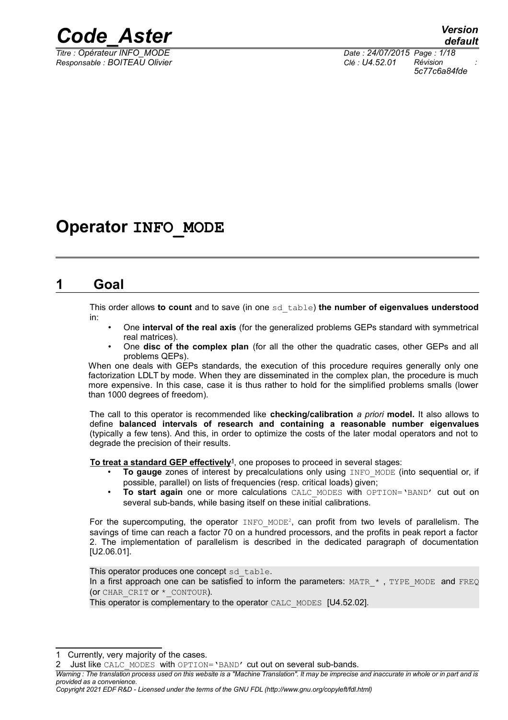

*Responsable : BOITEAU Olivier Clé : U4.52.01 Révision :*

*Titre : Opérateur INFO\_MODE Date : 24/07/2015 Page : 1/18 5c77c6a84fde*

## **Operator INFO\_MODE**

## **1 Goal**

This order allows **to count** and to save (in one sd\_table) **the number of eigenvalues understood** in:

- One **interval of the real axis** (for the generalized problems GEPs standard with symmetrical real matrices).
- One **disc of the complex plan** (for all the other the quadratic cases, other GEPs and all problems QEPs).

When one deals with GEPs standards, the execution of this procedure requires generally only one factorization LDLT by mode. When they are disseminated in the complex plan, the procedure is much more expensive. In this case, case it is thus rather to hold for the simplified problems smalls (lower than 1000 degrees of freedom).

The call to this operator is recommended like **checking/calibration** *a priori* **model.** It also allows to define **balanced intervals of research and containing a reasonable number eigenvalues** (typically a few tens). And this, in order to optimize the costs of the later modal operators and not to degrade the precision of their results.

 **To treat a standard GEP effectively[1](#page-0-0)** , one proposes to proceed in several stages:

- **To gauge** zones of interest by precalculations only using INFO MODE (into sequential or, if possible, parallel) on lists of frequencies (resp. critical loads) given;
- **To start again** one or more calculations CALC MODES with OPTION='BAND' cut out on several sub-bands, while basing itself on these initial calibrations.

For the supercomputing, the operator  $I\text{NFO}$  MODE<sup>[2](#page-0-1)</sup>, can profit from two levels of parallelism. The savings of time can reach a factor 70 on a hundred processors, and the profits in peak report a factor 2. The implementation of parallelism is described in the dedicated paragraph of documentation [U2.06.01].

This operator produces one concept sd\_table. In a first approach one can be satisfied to inform the parameters: MATR  $*$ , TYPE MODE and FREQ (OF CHAR CRIT OF \* CONTOUR).

This operator is complementary to the operator CALC\_MODES [U4.52.02].

<span id="page-0-0"></span>Currently, very majority of the cases.

<span id="page-0-1"></span>Just like CALC\_MODES\_With OPTION='BAND' cut out on several sub-bands.

*Warning : The translation process used on this website is a "Machine Translation". It may be imprecise and inaccurate in whole or in part and is provided as a convenience.*

*Copyright 2021 EDF R&D - Licensed under the terms of the GNU FDL (http://www.gnu.org/copyleft/fdl.html)*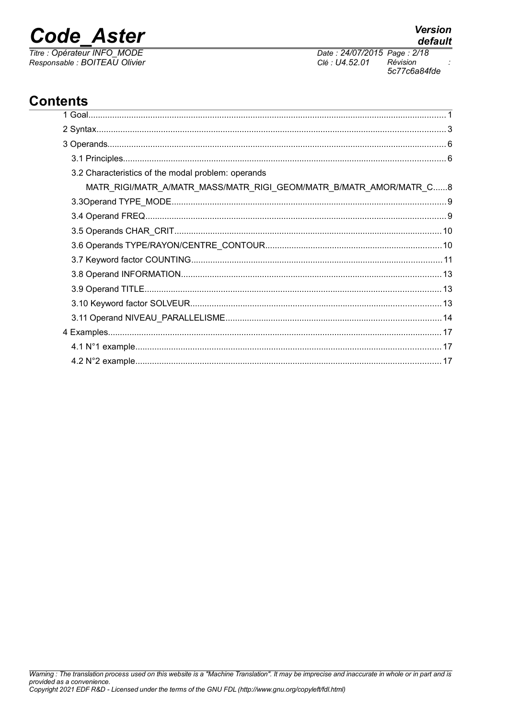## **Code Aster**

Titre : Opérateur INFO\_MODE Responsable : BOITEAU Olivier **Version** 

Date: 24/07/2015 Page: 2/18 Clé : U4.52.01 Révision 5c77c6a84fde

## **Contents**

| 3.2 Characteristics of the modal problem: operands                 |  |
|--------------------------------------------------------------------|--|
| MATR_RIGI/MATR_A/MATR_MASS/MATR_RIGI_GEOM/MATR_B/MATR_AMOR/MATR_C8 |  |
|                                                                    |  |
|                                                                    |  |
|                                                                    |  |
|                                                                    |  |
|                                                                    |  |
|                                                                    |  |
|                                                                    |  |
|                                                                    |  |
|                                                                    |  |
|                                                                    |  |
|                                                                    |  |
|                                                                    |  |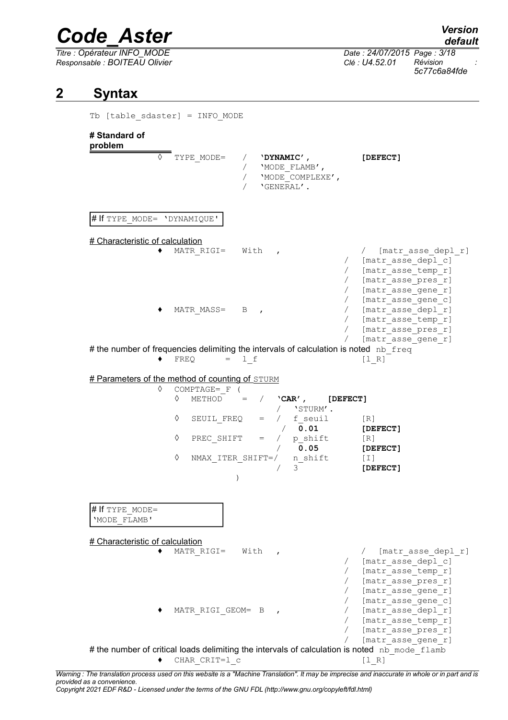*Responsable : BOITEAU Olivier Clé : U4.52.01 Révision :*

*default Titre : Opérateur INFO\_MODE Date : 24/07/2015 Page : 3/18 5c77c6a84fde*

### **2 Syntax**

Tb [table\_sdaster] = INFO\_MODE

#### **# Standard of problem**

◊ TYPE\_MODE= / **'DYNAMIC', [DEFECT]** / 'MODE\_FLAMB', / 'MODE<sup>\_</sup>COMPLEXE', / 'GENERAL'. # If TYPE MODE= 'DYNAMIQUE' # Characteristic of calculation ◆ MATR\_RIGI= With , / [matr\_asse\_depl\_r] / [matr\_asse\_depl\_c] / [matr\_asse\_temp\_r] [matr asse pres r] [matr asse gene r] / [matr\_asse\_gene\_c] MATR\_MASS= B , / [matr\_asse\_depl\_r] [matr\_asse\_temp\_r] [matr asse pres r] / [matr\_asse\_gene\_r] # the number of frequencies delimiting the intervals of calculation is noted nb  $freq$  $\bullet$  FREQ = l f [l R] # Parameters of the method of counting of STURM ◊ COMPTAGE=\_F ( ◊ METHOD = / **'CAR', [DEFECT]**  $/$  'STURM'.  $\sqrt{ }$  SEUIL FREQ = / f seuil [R] / **0.01 [DEFECT]**  $\Diamond$  PREC SHIFT = / p shift [R] / **0.05 [DEFECT]** ◊ NMAX\_ITER\_SHIFT=/ n\_shift [I] / 3 **[DEFECT]**  $\lambda$ # If TYPE\_MODE= 'MODE\_FLAMB' # Characteristic of calculation ◆ MATR RIGI= With , / [matr asse depl r] [matr\_asse\_depl\_c] [matr asse temp r] / [matr\_asse\_pres\_r] / [matr\_asse\_gene\_r] / [matr\_asse\_gene\_c] MATR\_RIGI\_GEOM= B , / [matr\_asse\_depl\_r] / [matr\_asse\_temp\_r] / [matr\_asse\_pres\_r] [matr asse gene r] # the number of critical loads delimiting the intervals of calculation is noted nb mode  $f$ lamb ◆ CHAR CRIT=1 c [l R]

*Warning : The translation process used on this website is a "Machine Translation". It may be imprecise and inaccurate in whole or in part and is provided as a convenience. Copyright 2021 EDF R&D - Licensed under the terms of the GNU FDL (http://www.gnu.org/copyleft/fdl.html)*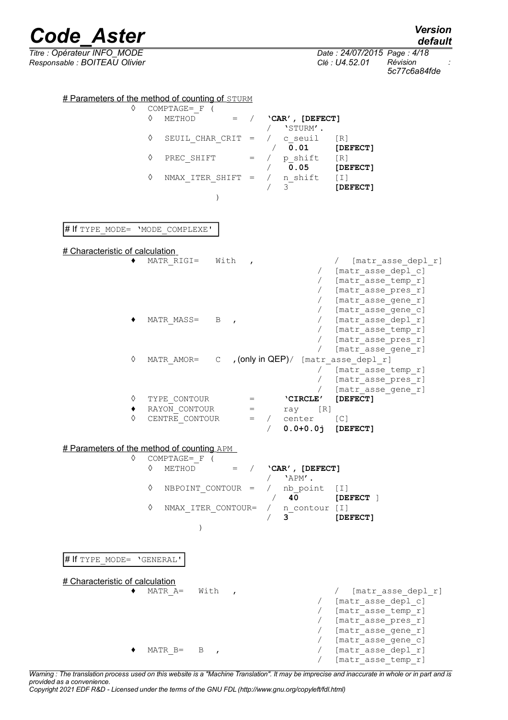*default*

*Titre : Opérateur INFO\_MODE Date : 24/07/2015 Page : 4/18 5c77c6a84fde*

**•** / **'CAR', [DEFECT]**<br>/ **'**STURM'.

*Responsable : BOITEAU Olivier Clé : U4.52.01 Révision :*

 $\frac{\text{\# Parameters of the method of counting of *STURM*}{\text{COMPTAGE} = F}$ 

COMPTAGE=\_F (<br>◊ METHOD

|                                                              | ♦<br>SEUIL CHAR CRIT = $\angle$ c seuil<br>PREC SHIFT $=$ / $p \text{ shift}$<br>♦<br>$NMAX_ITER_SHIFT = / n_Shift [I]$<br>♦               | $/$ 'STURM'.<br>[R]<br>$\sqrt{0.01}$<br>$[$ DEFECT $]$<br>$\begin{array}{ccc} / & \text{p\_shift} & [\text{R}] \\ / & \textbf{0.05} & \textbf{[DEFECT]} \end{array}$<br>3<br>[DEFECT] |
|--------------------------------------------------------------|--------------------------------------------------------------------------------------------------------------------------------------------|---------------------------------------------------------------------------------------------------------------------------------------------------------------------------------------|
| # If TYPE MODE= 'MODE_COMPLEXE'                              |                                                                                                                                            |                                                                                                                                                                                       |
| # Characteristic of calculation                              | MATR RIGI= $With$ ,                                                                                                                        | / [matr asse depl r]<br>/ [matr asse_depl_c]<br>/ [matr_asse_temp_r]<br>/ [matr_asse_pres_r]<br>/ [matr asse gene r]                                                                  |
|                                                              | MATR MASS= $\overline{B}$ ,                                                                                                                | [matr asse gene c]<br>/ [matr_asse_depl_r]<br>/ [matr asse_temp_r]<br>[matr asse pres r]<br>[matr asse gene r]                                                                        |
| ♦<br>♦                                                       | TYPE CONTOUR                                                                                                                               | MATR AMOR= $C$ , (only in QEP)/ [matr asse depl r]<br>[matr asse temp r]<br>[matr_asse_pres_r]<br>/ [matr_asse_gene_r]<br>[DEFECT]                                                    |
| ٠<br>♦                                                       | RAYON_CONTOUR<br>CENTRE CONTOUR = $/$ center [C]                                                                                           | = <b>'CIRCLE'</b><br>= ray [R]<br>$0.0 + 0.0j$ [DEFECT]                                                                                                                               |
|                                                              | # Parameters of the method of counting APM                                                                                                 |                                                                                                                                                                                       |
| ♦                                                            | COMPTAGE= F (<br>♦<br>METHOD $=$ / $'CRR'$ , [DEFECT]<br>♦<br>NBPOINT CONTOUR =<br>$\lozenge \quad \mathtt{NMAX}\_\mathtt{ITER\_CONTOUR=}$ | $/$ 'APM'.<br>/ nb point [I]<br>40 and $\sim$<br>[DEFECT ]<br>n contour [I]<br>3<br>[DEFECT]                                                                                          |
| # If TYPE MODE= 'GENERAL'<br># Characteristic of calculation | MATR A=<br>With<br>$\mathbf{r}$                                                                                                            | [matr asse depl r]<br>[matr asse depl c]<br>[matr asse temp r]<br>[matr_asse_pres_r]                                                                                                  |
|                                                              | $MATR B = B$<br>$\overline{ }$                                                                                                             | [matr_asse_gene_r]<br>[matr asse gene c]<br>[matr asse depl r]<br>[matr asse temp r]                                                                                                  |

*Warning : The translation process used on this website is a "Machine Translation". It may be imprecise and inaccurate in whole or in part and is provided as a convenience.*

*Copyright 2021 EDF R&D - Licensed under the terms of the GNU FDL (http://www.gnu.org/copyleft/fdl.html)*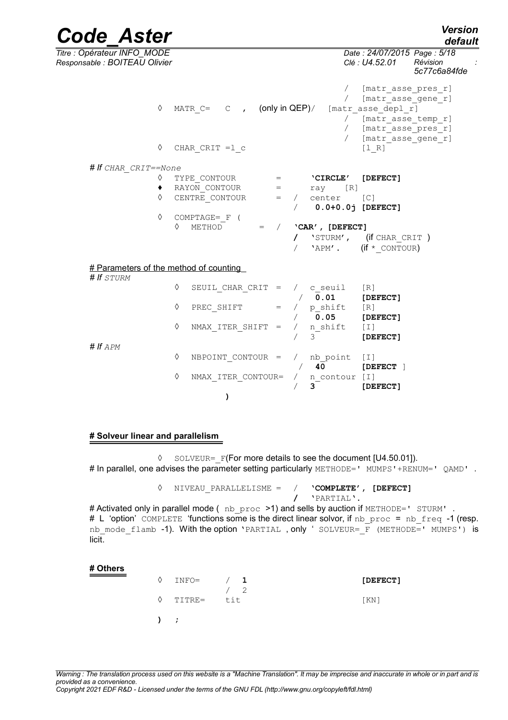*default*

*Code\_Aster Version Titre : Opérateur INFO\_MODE Date : 24/07/2015 Page : 5/18 Responsable : BOITEAU Olivier Clé : U4.52.01 Révision : 5c77c6a84fde* [matr asse pres r] / [matr\_asse\_gene\_r] ◊ MATR\_C= C , (only in QEP)/ [matr\_asse\_depl\_r] / [matr\_asse\_temp\_r]<br>/ [matr\_asse\_pres\_rl [matr\_asse\_pres\_r] / [matr\_asse\_gene\_r]  $\Diamond$  CHAR CRIT = 1 c [l R] *# If CHAR\_CRIT==None* ◊ TYPE\_CONTOUR = **'CIRCLE' [DEFECT]** ♦ RAYON\_CONTOUR = ray [R]  $\sqrt[6]{}$  CENTRE CONTOUR = / center [C] / **0.0+0.0j [DEFECT]** ◊ COMPTAGE=\_F ( ◊ METHOD = / **'CAR', [DEFECT] /** 'STURM', (if CHAR\_CRIT ) 'APM'.  $(if * \text{CONTOUR})$  # Parameters of the method of counting *# If STURM*  $\sqrt{}$  SEUIL CHAR CRIT = / c seuil [R] / **0.01 [DEFECT]**  $\sqrt[6]{}$  PREC\_SHIFT = / p\_shift [R] / **0.05 [DEFECT]** ◊ NMAX\_ITER\_SHIFT = / n\_shift [I] / 3 **[DEFECT]** *# If APM* ◊ NBPOINT\_CONTOUR = / nb\_point [I] / **40 [DEFECT** ] ◊ NMAX\_ITER\_CONTOUR= / n\_contour [I] / **3 [DEFECT] )**

#### **# Solveur linear and parallelism**

◊ SOLVEUR=\_F(For more details to see the document [U4.50.01]). # In parallel, one advises the parameter setting particularly METHODE=' MUMPS'+RENUM=' QAMD'.

> ◊ NIVEAU\_PARALLELISME = / **'COMPLETE', [DEFECT] /** 'PARTIAL'.

# Activated only in parallel mode (nb proc >1) and sells by auction if METHODE=' STURM'. # L 'option' COMPLETE 'functions some is the direct linear solvor, if nb proc = nb freq -1 (resp. nb\_mode\_flamb -1). With the option 'PARTIAL, only ' SOLVEUR= F (METHODE=' MUMPS') is licit.

#### **# Others**

| INFO=       | 1   | [DEFECT] |
|-------------|-----|----------|
| TITRE=      | tit | [KN]     |
| $\lambda$ ; |     |          |

*Warning : The translation process used on this website is a "Machine Translation". It may be imprecise and inaccurate in whole or in part and is provided as a convenience.*

*Copyright 2021 EDF R&D - Licensed under the terms of the GNU FDL (http://www.gnu.org/copyleft/fdl.html)*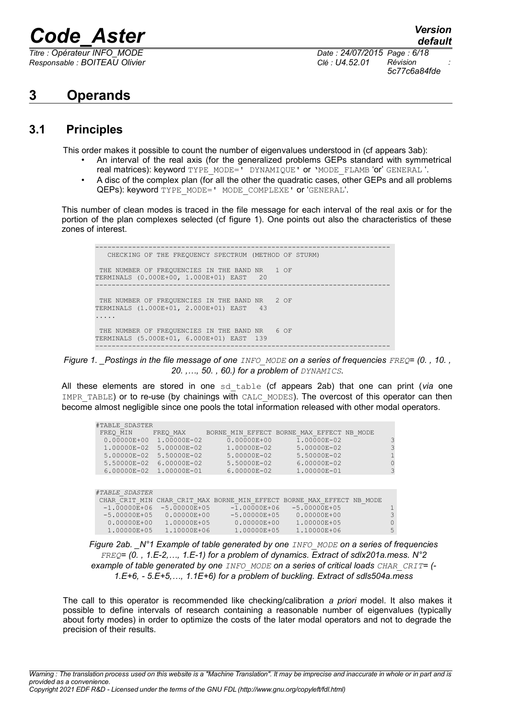*Responsable : BOITEAU Olivier Clé : U4.52.01 Révision :*

*default Titre : Opérateur INFO\_MODE Date : 24/07/2015 Page : 6/18 5c77c6a84fde*

## **3 Operands**

### **3.1 Principles**

This order makes it possible to count the number of eigenvalues understood in (cf appears 3ab):

- An interval of the real axis (for the generalized problems GEPs standard with symmetrical real matrices): keyword TYPE\_MODE=' DYNAMIQUE' or 'MODE\_FLAMB 'or' GENERAL '.
- A disc of the complex plan (for all the other the quadratic cases, other GEPs and all problems QEPs): keyword TYPE\_MODE=' MODE\_COMPLEXE' or 'GENERAL'.

This number of clean modes is traced in the file message for each interval of the real axis or for the portion of the plan complexes selected (cf figure 1). One points out also the characteristics of these zones of interest.

------------------------------------------------------------------------ CHECKING OF THE FREQUENCY SPECTRUM (METHOD OF STURM) THE NUMBER OF FREQUENCIES IN THE BAND NR 1 OF<br>PERMINALS (0 000E+00 1 000E+01) FAST 20 TERMINALS (0.000E+00, 1.000E+01) EAST 20 ------------------------------------------------------------------------ THE NUMBER OF FREQUENCIES IN THE BAND NR 2 OF TERMINALS (1.000E+01, 2.000E+01) EAST 43 ..... THE NUMBER OF FREQUENCIES IN THE BAND NR 6 OF TERMINALS (5.000E+01, 6.000E+01) EAST 139 ------------------------------------------------------------------------

*Figure 1. \_Postings in the file message of one INFO\_MODE on a series of frequencies FREQ= (0. , 10. , 20. ,…, 50. , 60.) for a problem of DYNAMICS.*

All these elements are stored in one sd\_table (cf appears 2ab) that one can print (*via* one IMPR\_TABLE) or to re-use (by chainings with CALC\_MODES). The overcost of this operator can then become almost negligible since one pools the total information released with other modal operators.

| #TABLE SDASTER  |                 |                                                 |                                           |         |
|-----------------|-----------------|-------------------------------------------------|-------------------------------------------|---------|
| FREQ MIN        | FREQ MAX        |                                                 | BORNE MIN EFFECT BORNE MAX EFFECT NB MODE |         |
| $0.00000E + 00$ | 1.00000E-02     | $0.00000E + 00$                                 | 1.00000E-02                               | 3       |
| 1.00000E-02     | 5.00000E-02     | 1.00000E-02                                     | 5.00000E-02                               | 3       |
| 5.00000E-02     | 5.50000E-02     | 5.00000E-02                                     | 5.50000E-02                               |         |
| 5.50000E-02     | 6.00000E-02     | 5.50000E-02                                     | 6.00000E-02                               | 0       |
| $6.00000E - 02$ | 1.00000E-01     | 6.00000E-02                                     | 1.00000E-01                               | 3       |
|                 |                 |                                                 |                                           |         |
|                 |                 |                                                 |                                           |         |
| #TABLE SDASTER  |                 |                                                 |                                           |         |
| CHAR CRIT MIN   |                 | CHAR CRIT MAX BORNE MIN EFFECT BORNE MAX EFFECT |                                           | NB MODE |
| $-1.00000E+06$  | $-5.00000E+05$  | $-1.00000E+06$                                  | $-5.00000E+05$                            |         |
| $-5.00000E+05$  | $0.00000E + 00$ | $-5.00000E+05$                                  | $0.00000E + 00$                           | 3       |
| $0.00000E + 00$ | 1.00000E+05     | $0.00000E + 00$                                 | 1.00000E+05                               | 0       |
| 1.00000E+05     | 1.10000E+06     | 1.00000E+05                                     | 1.10000E+06                               | 5       |

*Figure 2ab. \_N°1 Example of table generated by one INFO\_MODE on a series of frequencies FREQ= (0. , 1.E-2,…, 1.E-1) for a problem of dynamics. Extract of sdlx201a.mess. N°2 example of table generated by one INFO\_MODE on a series of critical loads CHAR\_CRIT= (- 1.E+6, - 5.E+5,…, 1.1E+6) for a problem of buckling. Extract of sdls504a.mess*

The call to this operator is recommended like checking/calibration *a priori* model. It also makes it possible to define intervals of research containing a reasonable number of eigenvalues (typically about forty modes) in order to optimize the costs of the later modal operators and not to degrade the precision of their results.

*Warning : The translation process used on this website is a "Machine Translation". It may be imprecise and inaccurate in whole or in part and is provided as a convenience. Copyright 2021 EDF R&D - Licensed under the terms of the GNU FDL (http://www.gnu.org/copyleft/fdl.html)*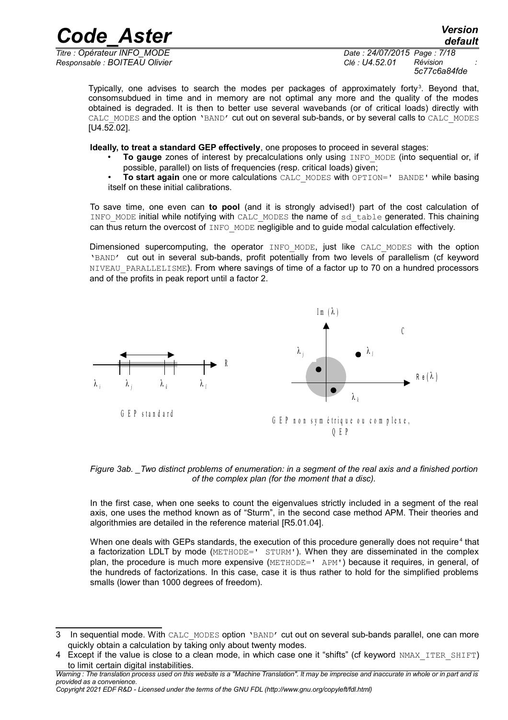*Titre : Opérateur INFO\_MODE Date : 24/07/2015 Page : 7/18 Responsable : BOITEAU Olivier Clé : U4.52.01 Révision :*

*5c77c6a84fde*

Typically, one advises to search the modes per packages of approximately forty<sup>[3](#page-6-0)</sup>. Beyond that, consomsubdued in time and in memory are not optimal any more and the quality of the modes obtained is degraded. It is then to better use several wavebands (or of critical loads) directly with CALC\_MODES and the option 'BAND' cut out on several sub-bands, or by several calls to CALC\_MODES  $[U4.52.02]$ .

**Ideally, to treat a standard GEP effectively**, one proposes to proceed in several stages:

- **To gauge** zones of interest by precalculations only using INFO MODE (into sequential or, if possible, parallel) on lists of frequencies (resp. critical loads) given;
- **To start again** one or more calculations CALC\_MODES with OPTION=' BANDE' while basing itself on these initial calibrations.

To save time, one even can **to pool** (and it is strongly advised!) part of the cost calculation of INFO MODE initial while notifying with CALC\_MODES the name of sd\_table generated. This chaining can thus return the overcost of INFO MODE negligible and to guide modal calculation effectively.

Dimensioned supercomputing, the operator INFO MODE, just like CALC MODES with the option 'BAND' cut out in several sub-bands, profit potentially from two levels of parallelism (cf keyword NIVEAU PARALLELISME). From where savings of time of a factor up to 70 on a hundred processors and of the profits in peak report until a factor 2.



*Figure 3ab. \_Two distinct problems of enumeration: in a segment of the real axis and a finished portion of the complex plan (for the moment that a disc).*

In the first case, when one seeks to count the eigenvalues strictly included in a segment of the real axis, one uses the method known as of "Sturm", in the second case method APM. Their theories and algorithmies are detailed in the reference material [R5.01.04].

When one deals with GEPs standards, the execution of this procedure generally does not require<sup>[4](#page-6-1)</sup> that a factorization LDLT by mode (METHODE=' STURM'). When they are disseminated in the complex plan, the procedure is much more expensive (METHODE=' APM') because it requires, in general, of the hundreds of factorizations. In this case, case it is thus rather to hold for the simplified problems smalls (lower than 1000 degrees of freedom).

*Copyright 2021 EDF R&D - Licensed under the terms of the GNU FDL (http://www.gnu.org/copyleft/fdl.html)*

<span id="page-6-0"></span><sup>3</sup> In sequential mode. With CALC\_MODES option 'BAND' cut out on several sub-bands parallel, one can more quickly obtain a calculation by taking only about twenty modes.

<span id="page-6-1"></span><sup>4</sup> Except if the value is close to a clean mode, in which case one it "shifts" (cf keyword NMAX\_ITER\_SHIFT) to limit certain digital instabilities.

*Warning : The translation process used on this website is a "Machine Translation". It may be imprecise and inaccurate in whole or in part and is provided as a convenience.*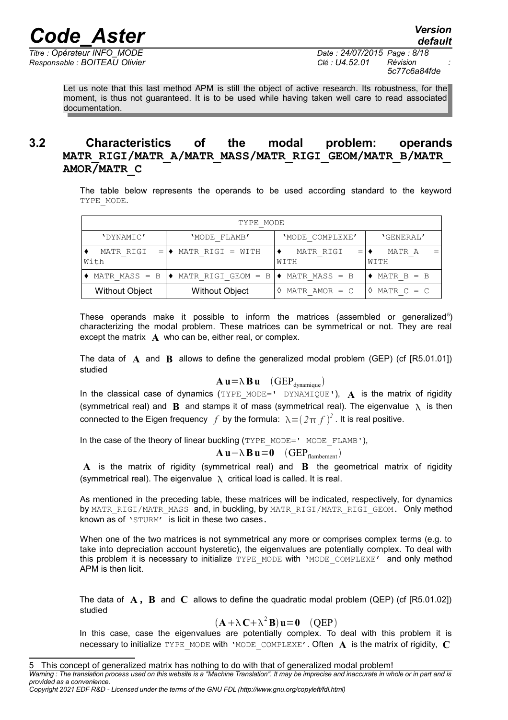*Responsable : BOITEAU Olivier Clé : U4.52.01 Révision :*

Let us note that this last method APM is still the object of active research. Its robustness, for the moment, is thus not guaranteed. It is to be used while having taken well care to read associated documentation.

### **3.2 Characteristics of the modal problem: operands MATR\_RIGI/MATR\_A/MATR\_MASS/MATR\_RIGI\_GEOM/MATR\_B/MATR\_ AMOR/MATR\_C**

The table below represents the operands to be used according standard to the keyword TYPE\_MODE.

| TYPE MODE             |                                                              |                   |                                 |  |  |  |
|-----------------------|--------------------------------------------------------------|-------------------|---------------------------------|--|--|--|
| 'DYNAMIC'             | 'MODE FLAMB'                                                 | 'MODE COMPLEXE'   | 'GENERAL'                       |  |  |  |
| MATR RIGI<br>With     | MATR RIGI = WITH<br>$=$ $\bullet$                            | MATR RIGI<br>WITH | MATR A<br>$=$ $\bullet$<br>WITH |  |  |  |
| $MATR MASS = B$       | $\rightarrow$ MATR RIGI GEOM = B $\rightarrow$ MATR MASS = B |                   | $MATR B = B$                    |  |  |  |
| <b>Without Object</b> | <b>Without Object</b>                                        | MATR AMOR $= C$   | MATR $C = C$                    |  |  |  |

These operands make it possible to inform the matrices (assembled or generalized<sup>[5](#page-7-0)</sup>) characterizing the modal problem. These matrices can be symmetrical or not. They are real except the matrix **A** who can be, either real, or complex.

The data of **A** and **B** allows to define the generalized modal problem (GEP) (cf [R5.01.01]) studied

#### $\mathbf{A} \mathbf{u} = \lambda \mathbf{B} \mathbf{u}$  (GEP<sub>dynamique</sub>)

In the classical case of dynamics (TYPE MODE=' DYNAMIQUE'),  $\bf{A}$  is the matrix of rigidity (symmetrical real) and **B** and stamps it of mass (symmetrical real). The eigenvalue  $\lambda$  is then connected to the Eigen frequency  $f$  by the formula:  $\lambda = (2\pi f)^2$  . It is real positive.

In the case of the theory of linear buckling (TYPE\_MODE=' MODE\_FLAMB'),

#### **A u** −  $\lambda$  **B u** = **0** (GEP<sub>flambement</sub>)

**A** is the matrix of rigidity (symmetrical real) and **B** the geometrical matrix of rigidity (symmetrical real). The eigenvalue  $\lambda$  critical load is called. It is real.

As mentioned in the preceding table, these matrices will be indicated, respectively, for dynamics by MATR\_RIGI/MATR\_MASS\_and, in buckling, by MATR\_RIGI/MATR\_RIGI\_GEOM. Only method known as of 'STURM' is licit in these two cases.

When one of the two matrices is not symmetrical any more or comprises complex terms (e.g. to take into depreciation account hysteretic), the eigenvalues are potentially complex. To deal with this problem it is necessary to initialize TYPE\_MODE with 'MODE\_COMPLEXE' and only method APM is then licit.

The data of **A , B** and **C** allows to define the quadratic modal problem (QEP) (cf [R5.01.02]) studied

 $(A + \lambda C + \lambda^2 B)$ **u**=**0** (QEP)

In this case, case the eigenvalues are potentially complex. To deal with this problem it is necessary to initialize TYPE\_MODE with 'MODE\_COMPLEXE'. Often  $\bf{A}$  is the matrix of rigidity,  $\bf{C}$ 

<span id="page-7-0"></span><sup>5</sup> This concept of generalized matrix has nothing to do with that of generalized modal problem!

*Warning : The translation process used on this website is a "Machine Translation". It may be imprecise and inaccurate in whole or in part and is provided as a convenience.*

*Copyright 2021 EDF R&D - Licensed under the terms of the GNU FDL (http://www.gnu.org/copyleft/fdl.html)*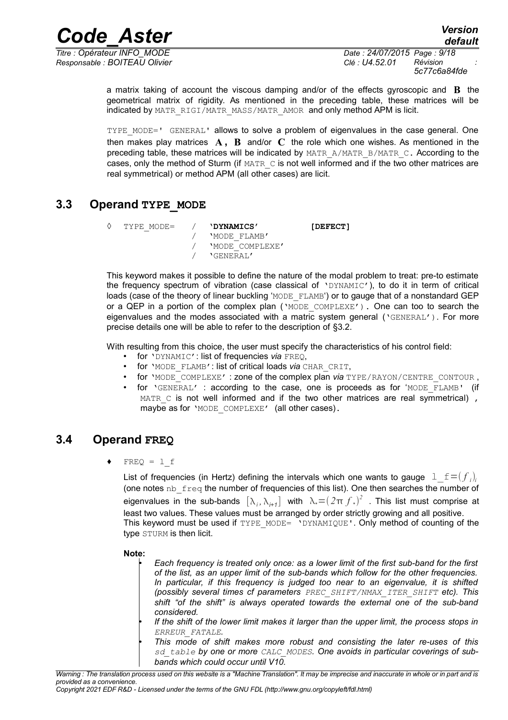*Responsable : BOITEAU Olivier Clé : U4.52.01 Révision :*

*Titre : Opérateur INFO\_MODE Date : 24/07/2015 Page : 9/18 5c77c6a84fde*

> a matrix taking of account the viscous damping and/or of the effects gyroscopic and **B** the geometrical matrix of rigidity. As mentioned in the preceding table, these matrices will be indicated by MATR\_RIGI/MATR\_MASS/MATR\_AMOR and only method APM is licit.

> TYPE MODE=' GENERAL' allows to solve a problem of eigenvalues in the case general. One then makes play matrices **A , B** and/or **C** the role which one wishes. As mentioned in the preceding table, these matrices will be indicated by MATR\_A/MATR\_B/MATR\_C. According to the cases, only the method of Sturm (if MATR C is not well informed and if the two other matrices are real symmetrical) or method APM (all other cases) are licit.

### **3.3 Operand TYPE\_MODE**

```
◊ TYPE_MODE= / 'DYNAMICS' [DEFECT]
              / 'MODE_FLAMB'
              / 'MODE_COMPLEXE'
                 / 'GENERAL'
```
This keyword makes it possible to define the nature of the modal problem to treat: pre-to estimate the frequency spectrum of vibration (case classical of 'DYNAMIC'), to do it in term of critical loads (case of the theory of linear buckling 'MODE\_FLAMB') or to gauge that of a nonstandard GEP or a QEP in a portion of the complex plan  $(\text{YODE} \text{ COMPLEXE}')$ . One can too to search the eigenvalues and the modes associated with a matric system general ('GENERAL'). For more precise details one will be able to refer to the description of §3.2.

With resulting from this choice, the user must specify the characteristics of his control field:

- for 'DYNAMIC': list of frequencies *via* FREQ,
- for 'MODE\_FLAMB': list of critical loads *via* CHAR\_CRIT,
- for 'MODE COMPLEXE' : zone of the complex plan *via* TYPE/RAYON/CENTRE CONTOUR,
- for 'GENERAL' : according to the case, one is proceeds as for 'MODE\_FLAMB' (if  $MATE \text{C}$  is not well informed and if the two other matrices are real symmetrical), maybe as for 'MODE COMPLEXE' (all other cases).

### **3.4 Operand FREQ**

 $FREQ = 1 f$ 

List of frequencies (in Hertz) defining the intervals which one wants to gauge  $\left| 1\_f=$   $(f_{i})_{i}$ (one notes  $nb$  freq the number of frequencies of this list). One then searches the number of eigenvalues in the sub-bands  $[\lambda_i, \lambda_{i+1}]$  with  $\lambda_*(2\pi f_*)^2$  . This list must comprise at least two values. These values must be arranged by order strictly growing and all positive. This keyword must be used if  $TYPE$  MODE= 'DYNAMIQUE'. Only method of counting of the type STURM is then licit.

**Note:**

- *Each frequency is treated only once: as a lower limit of the first sub-band for the first of the list, as an upper limit of the sub-bands which follow for the other frequencies. In particular, if this frequency is judged too near to an eigenvalue, it is shifted (possibly several times cf parameters PREC\_SHIFT/NMAX\_ITER\_SHIFT etc). This shift "of the shift" is always operated towards the external one of the sub-band considered.*
- *If the shift of the lower limit makes it larger than the upper limit, the process stops in ERREUR\_FATALE.*
- *This mode of shift makes more robust and consisting the later re-uses of this sd\_table by one or more CALC\_MODES. One avoids in particular coverings of subbands which could occur until V10.*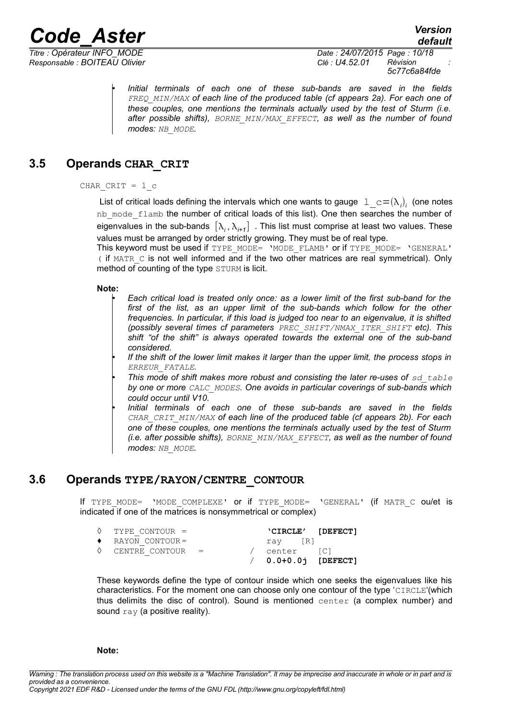*Code\_Aster Version Titre : Opérateur INFO\_MODE Date : 24/07/2015 Page : 10/18*

*default*

*Responsable : BOITEAU Olivier Clé : U4.52.01 Révision : 5c77c6a84fde*

> • *Initial terminals of each one of these sub-bands are saved in the fields FREQ\_MIN/MAX of each line of the produced table (cf appears 2a). For each one of these couples, one mentions the terminals actually used by the test of Sturm (i.e. after possible shifts), BORNE\_MIN/MAX\_EFFECT, as well as the number of found modes: NB\_MODE.*

### **3.5 Operands CHAR\_CRIT**

#### CHAR  $CRIT = 1 c$

List of critical loads defining the intervals which one wants to gauge  $\left. \perp \_c = (\lambda_i)_i \right.$  (one notes nb\_mode\_flamb the number of critical loads of this list). One then searches the number of eigenvalues in the sub-bands  $[\lambda_i, \lambda_{i+1}]$  . This list must comprise at least two values. These values must be arranged by order strictly growing. They must be of real type.

This keyword must be used if TYPE\_MODE= 'MODE\_FLAMB' or if TYPE\_MODE= 'GENERAL'  $($  if MATR  $\,$   $\,$  c is not well informed and if the two other matrices are real symmetrical). Only method of counting of the type STURM is licit.

#### **Note:**

- *Each critical load is treated only once: as a lower limit of the first sub-band for the first of the list, as an upper limit of the sub-bands which follow for the other frequencies. In particular, if this load is judged too near to an eigenvalue, it is shifted (possibly several times cf parameters PREC\_SHIFT/NMAX\_ITER\_SHIFT etc). This shift "of the shift" is always operated towards the external one of the sub-band considered.*
- *If the shift of the lower limit makes it larger than the upper limit, the process stops in ERREUR\_FATALE.*
- **This mode of shift makes more robust and consisting the later re-uses of** sd table *by one or more CALC\_MODES. One avoids in particular coverings of sub-bands which could occur until V10.*
- *Initial terminals of each one of these sub-bands are saved in the fields CHAR\_CRIT\_MIN/MAX of each line of the produced table (cf appears 2b). For each one of these couples, one mentions the terminals actually used by the test of Sturm (i.e. after possible shifts), BORNE\_MIN/MAX\_EFFECT, as well as the number of found modes: NB\_MODE.*

#### **3.6 Operands TYPE/RAYON/CENTRE\_CONTOUR**

If TYPE MODE= 'MODE COMPLEXE' or if TYPE MODE= 'GENERAL' (if MATR C ou/et is indicated if one of the matrices is nonsymmetrical or complex)

| $\Diamond$ TYPE CONTOUR =   |  |              | 'CIRCLE' [DEFECT]       |
|-----------------------------|--|--------------|-------------------------|
| $\bullet$ RAYON CONTOUR=    |  | ray IRI      |                         |
| $\Diamond$ CENTRE CONTOUR = |  | / center [C] |                         |
|                             |  |              | $/ 0.0 + 0.0j$ [DEFECT] |

These keywords define the type of contour inside which one seeks the eigenvalues like his characteristics. For the moment one can choose only one contour of the type 'CIRCLE'(which thus delimits the disc of control). Sound is mentioned center (a complex number) and sound ray (a positive reality).

#### **Note:**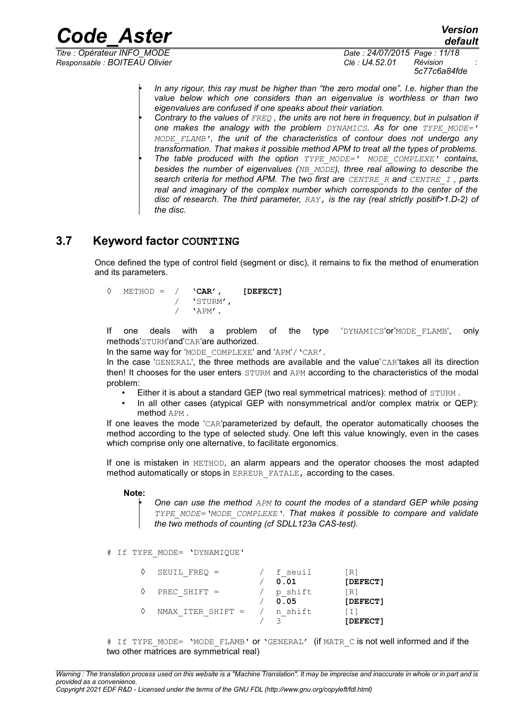*Responsable : BOITEAU Olivier Clé : U4.52.01 Révision :*

*Titre : Opérateur INFO\_MODE Date : 24/07/2015 Page : 11/18 5c77c6a84fde*

> • *In any rigour, this ray must be higher than "the zero modal one". I.e. higher than the value below which one considers than an eigenvalue is worthless or than two eigenvalues are confused if one speaks about their variation.* • *Contrary to the values of FREQ , the units are not here in frequency, but in pulsation if*

*one makes the analogy with the problem DYNAMICS. As for one TYPE\_MODE=' MODE\_FLAMB', the unit of the characteristics of contour does not undergo any transformation. That makes it possible method APM to treat all the types of problems.* • *The table produced with the option TYPE\_MODE=' MODE\_COMPLEXE' contains, besides the number of eigenvalues (NB\_MODE), three real allowing to describe the search criteria for method APM. The two first are CENTRE\_R and CENTRE\_I , parts real and imaginary of the complex number which corresponds to the center of the disc of research. The third parameter, RAY, is the ray (real strictly positif>1.D-2) of the disc.*

### **3.7 Keyword factor COUNTING**

Once defined the type of control field (segment or disc), it remains to fix the method of enumeration and its parameters.

| ♦ |  | $METHOD = / \mathbf{CAR'}$ , | [DEFECT] |
|---|--|------------------------------|----------|
|   |  | / 'STURM',                   |          |
|   |  | 'APM'                        |          |

If one deals with a problem of the type 'DYNAMICS'or'MODE\_FLAMB', only methods'STURM'and'CAR'are authorized.

In the same way for 'MODE COMPLEXE' and 'APM'/ 'CAR'.

In the case 'GENERAL', the three methods are available and the value'CAR'takes all its direction then! It chooses for the user enters STURM and APM according to the characteristics of the modal problem:

- Either it is about a standard GEP (two real symmetrical matrices): method of STURM.
- In all other cases (atypical GEP with nonsymmetrical and/or complex matrix or QEP): method APM .

If one leaves the mode 'CAR'parameterized by default, the operator automatically chooses the method according to the type of selected study. One left this value knowingly, even in the cases which comprise only one alternative, to facilitate ergonomics.

If one is mistaken in METHOD, an alarm appears and the operator chooses the most adapted method automatically or stops in ERREUR FATALE, according to the cases.

#### **Note:**

• *One can use the method APM to count the modes of a standard GEP while posing TYPE\_MODE='MODE\_COMPLEXE'. That makes it possible to compare and validate the two methods of counting (cf SDLL123a CAS-test).*

# If TYPE\_MODE= 'DYNAMIQUE'

| SEUIL FREO $=$    | f seuil | [R]      |
|-------------------|---------|----------|
|                   | 0.01    | [DEFECT] |
| PREC SHIFT $=$    | p shift | [R]      |
|                   | 0.05    | [DEFECT] |
| NMAX ITER SHIFT = | n shift | LI I     |
|                   |         | [DEFECT] |

# If TYPE MODE= 'MODE FLAMB' or 'GENERAL' (if MATR C is not well informed and if the two other matrices are symmetrical real)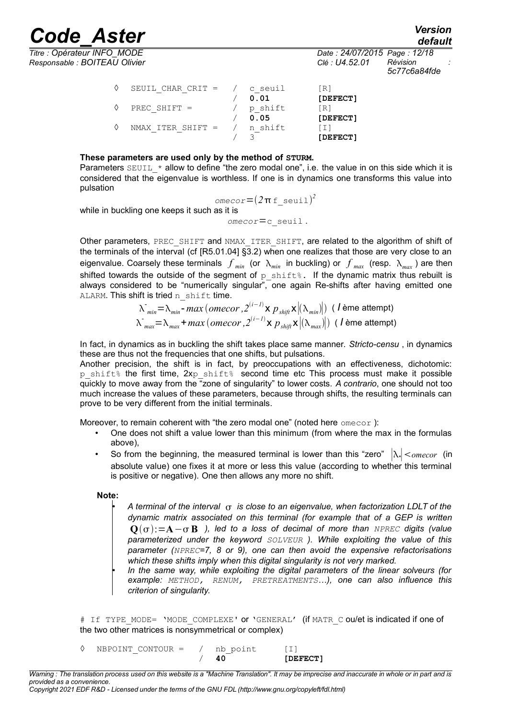*Responsable : BOITEAU Olivier Clé : U4.52.01 Révision :*

*Titre : Opérateur INFO\_MODE Date : 24/07/2015 Page : 12/18 5c77c6a84fde*

| ♦ | SEUIL CHAR CRIT = $/$ | c seuil<br>0.01 | [R]<br>[DEFECT]  |
|---|-----------------------|-----------------|------------------|
| ♦ | PREC SHIFT $=$        | p shift<br>0.05 | [R]<br>[DEFECT]  |
|   | $NMAX$ ITER SHIFT $=$ | n shift         | LI 1<br>[DEFECT] |

#### **These parameters are used only by the method of STURM.**

Parameters  $SEUIL *$  allow to define "the zero modal one", i.e. the value in on this side which it is considered that the eigenvalue is worthless. If one is in dynamics one transforms this value into pulsation

 $1$ *omecor* =  $(2\pi f \text{ seuil})^2$ 

while in buckling one keeps it such as it is

*omecor*=c\_seuil .

Other parameters, PREC\_SHIFT and NMAX\_ITER\_SHIFT, are related to the algorithm of shift of the terminals of the interval (cf [R5.01.04] §3.2) when one realizes that those are very close to an eigenvalue. Coarsely these terminals  $f$ <sub>*min*</sub> (or  $\lambda_{min}$  in buckling) or  $f$ <sub>*max*</sub> (resp.  $\lambda_{max}$ ) are then shifted towards the outside of the segment of  $p$  shifts. If the dynamic matrix thus rebuilt is always considered to be "numerically singular", one again Re-shifts after having emitted one ALARM. This shift is tried n shift time.

$$
\lambda_{min}^- = \lambda_{min} - max \ (omecor \ , 2^{(i-1)} \times p_{shift} \times |(\lambda_{min})|) \ (1 \text{ ème attempt})
$$
  

$$
\lambda_{max}^- = \lambda_{max} + max \ (omecor \ , 2^{(i-1)} \times p_{shift} \times |(\lambda_{max})|) \ (1 \text{ ème attempt})
$$

In fact, in dynamics as in buckling the shift takes place same manner. *Stricto-censu* , in dynamics these are thus not the frequencies that one shifts, but pulsations.

Another precision, the shift is in fact, by preoccupations with an effectiveness, dichotomic: p shift% the first time,  $2xp$  shift% second time etc This process must make it possible quickly to move away from the "zone of singularity" to lower costs. *A contrario*, one should not too much increase the values of these parameters, because through shifts, the resulting terminals can prove to be very different from the initial terminals.

Moreover, to remain coherent with "the zero modal one" (noted here omecor):

- One does not shift a value lower than this minimum (from where the max in the formulas above),
- So from the beginning, the measured terminal is lower than this "zero"  $|\lambda_*| <$ <sub>omecor</sub> (in absolute value) one fixes it at more or less this value (according to whether this terminal is positive or negative). One then allows any more no shift.

#### **Note:**

- *A terminal of the interval is close to an eigenvalue, when factorization LDLT of the dynamic matrix associated on this terminal (for example that of a GEP is written* **Q**:=**A**− **B** *), led to a loss of decimal of more than NPREC digits (value parameterized under the keyword SOLVEUR ). While exploiting the value of this parameter (NPREC=7, 8 or 9), one can then avoid the expensive refactorisations which these shifts imply when this digital singularity is not very marked.*
- *In the same way, while exploiting the digital parameters of the linear solveurs (for example: METHOD, RENUM, PRETREATMENTS…), one can also influence this criterion of singularity.*

# If TYPE MODE= 'MODE COMPLEXE' or 'GENERAL' (if MATR C ou/et is indicated if one of the two other matrices is nonsymmetrical or complex)

◊ NBPOINT\_CONTOUR = / nb\_point [I] / **40 [DEFECT]**

*Warning : The translation process used on this website is a "Machine Translation". It may be imprecise and inaccurate in whole or in part and is provided as a convenience.*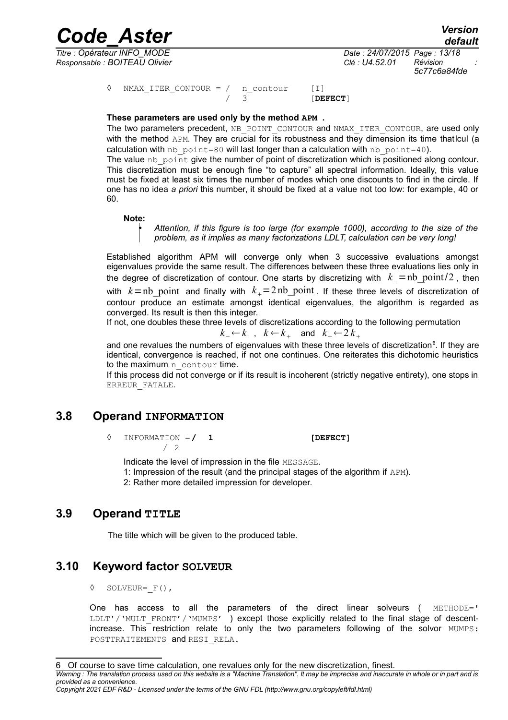*Responsable : BOITEAU Olivier Clé : U4.52.01 Révision :*

*Titre : Opérateur INFO\_MODE Date : 24/07/2015 Page : 13/18 5c77c6a84fde*

> ◊ NMAX\_ITER\_CONTOUR = / n\_contour [I]  $/ 3$  [DEFECT]

#### **These parameters are used only by the method APM .**

The two parameters precedent, NB POINT CONTOUR and NMAX ITER CONTOUR, are used only with the method APM. They are crucial for its robustness and they dimension its time that cull (a calculation with  $nb$  point=80 will last longer than a calculation with  $nb$  point=40).

The value nb point give the number of point of discretization which is positioned along contour. This discretization must be enough fine "to capture" all spectral information. Ideally, this value must be fixed at least six times the number of modes which one discounts to find in the circle. If one has no idea *a priori* this number, it should be fixed at a value not too low: for example, 40 or 60.

#### **Note:**

• *Attention, if this figure is too large (for example 1000), according to the size of the problem, as it implies as many factorizations LDLT, calculation can be very long!*

Established algorithm APM will converge only when 3 successive evaluations amongst eigenvalues provide the same result. The differences between these three evaluations lies only in the degree of discretization of contour. One starts by discretizing with *k*−=nb\_point/2 , then with  $k=$ nb point and finally with  $k_+$ =2nb\_point . If these three levels of discretization of contour produce an estimate amongst identical eigenvalues, the algorithm is regarded as converged. Its result is then this integer.

If not, one doubles these three levels of discretizations according to the following permutation

$$
k_{-} \leftarrow k \quad , \quad k \leftarrow k_{+} \quad \text{and} \quad k_{+} \leftarrow 2 k_{+}
$$

and one revalues the numbers of eigenvalues with these three levels of discretization<sup>[6](#page-12-0)</sup>. If they are identical, convergence is reached, if not one continues. One reiterates this dichotomic heuristics to the maximum n\_contour time.

If this process did not converge or if its result is incoherent (strictly negative entirety), one stops in ERREUR\_FATALE.

#### **3.8 Operand INFORMATION**

◊ INFORMATION =**/ 1 [DEFECT]** / 2

Indicate the level of impression in the file MESSAGE.

1: Impression of the result (and the principal stages of the algorithm if APM).

2: Rather more detailed impression for developer.

#### **3.9 Operand TITLE**

The title which will be given to the produced table.

#### **3.10 Keyword factor SOLVEUR**

 $\Diamond$  SOLVEUR=  $F()$ ,

One has access to all the parameters of the direct linear solveurs ( METHODE=' LDLT'/'MULT\_FRONT'/'MUMPS' ) except those explicitly related to the final stage of descentincrease. This restriction relate to only the two parameters following of the solvor MUMPS: POSTTRAITEMENTS and RESI RELA.

<span id="page-12-0"></span>*Warning : The translation process used on this website is a "Machine Translation". It may be imprecise and inaccurate in whole or in part and is provided as a convenience.*

*Copyright 2021 EDF R&D - Licensed under the terms of the GNU FDL (http://www.gnu.org/copyleft/fdl.html)*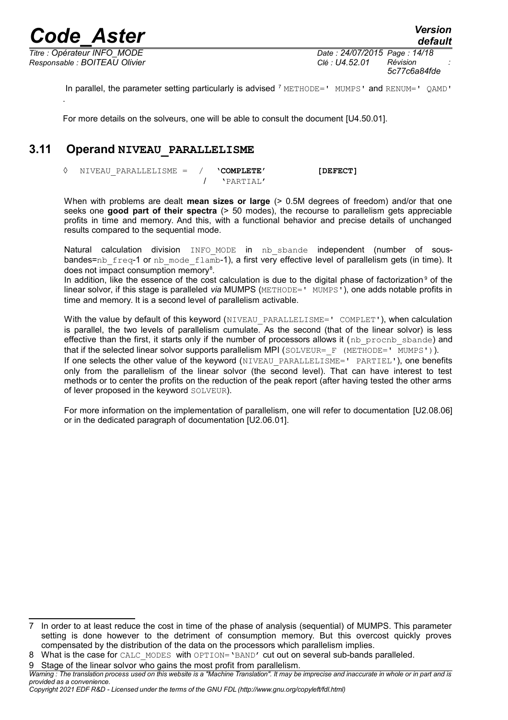*Responsable : BOITEAU Olivier Clé : U4.52.01 Révision :*

*Titre : Opérateur INFO\_MODE Date : 24/07/2015 Page : 14/18 5c77c6a84fde*

In parallel, the parameter setting particularly is advised  $^7$  $^7$  METHODE=' MUMPS' and RENUM=' QAMD' .

For more details on the solveurs, one will be able to consult the document [U4.50.01].

### **3.11 Operand NIVEAU\_PARALLELISME**

◊ NIVEAU\_PARALLELISME = / **'COMPLETE' [DEFECT]** / 'PARTIAL'

When with problems are dealt **mean sizes or large** (> 0.5M degrees of freedom) and/or that one seeks one **good part of their spectra** (> 50 modes), the recourse to parallelism gets appreciable profits in time and memory. And this, with a functional behavior and precise details of unchanged results compared to the sequential mode.

Natural calculation division INFO\_MODE in nb\_sbande independent (number of sousbandes=nb\_freq-1 or nb\_mode\_flamb-1), a first very effective level of parallelism gets (in time). It does not impact consumption memory<sup>[8](#page-13-1)</sup>.

In addition, like the essence of the cost calculation is due to the digital phase of factorization<sup>[9](#page-13-2)</sup> of the linear solvor, if this stage is paralleled *via* MUMPS (METHODE=' MUMPS'), one adds notable profits in time and memory. It is a second level of parallelism activable.

With the value by default of this keyword (NIVEAU PARALLELISME=' COMPLET'), when calculation is parallel, the two levels of parallelism cumulate. As the second (that of the linear solvor) is less effective than the first, it starts only if the number of processors allows it (nb procnb sbande) and that if the selected linear solvor supports parallelism MPI (SOLVEUR= F (METHODE=' MUMPS')). If one selects the other value of the keyword (NIVEAU PARALLELISME=' PARTIEL'), one benefits only from the parallelism of the linear solvor (the second level). That can have interest to test methods or to center the profits on the reduction of the peak report (after having tested the other arms of lever proposed in the keyword SOLVEUR).

For more information on the implementation of parallelism, one will refer to documentation [U2.08.06] or in the dedicated paragraph of documentation [U2.06.01].

<span id="page-13-2"></span>9 Stage of the linear solvor who gains the most profit from parallelism.

<span id="page-13-0"></span><sup>7</sup> In order to at least reduce the cost in time of the phase of analysis (sequential) of MUMPS. This parameter setting is done however to the detriment of consumption memory. But this overcost quickly proves compensated by the distribution of the data on the processors which parallelism implies.

<span id="page-13-1"></span><sup>8</sup> What is the case for CALC\_MODES\_with OPTION='BAND' cut out on several sub-bands paralleled.

*Warning : The translation process used on this website is a "Machine Translation". It may be imprecise and inaccurate in whole or in part and is provided as a convenience.*

*Copyright 2021 EDF R&D - Licensed under the terms of the GNU FDL (http://www.gnu.org/copyleft/fdl.html)*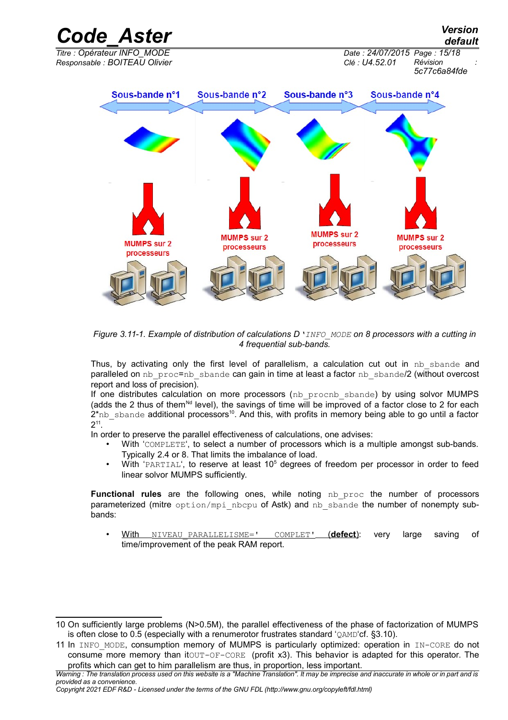

*Figure 3.11-1. Example of distribution of calculations D'INFO\_MODE on 8 processors with a cutting in 4 frequential sub-bands.*

Thus, by activating only the first level of parallelism, a calculation cut out in nb sbande and paralleled on nb\_proc=nb\_sbande can gain in time at least a factor nb\_sbande/2 (without overcost report and loss of precision).

If one distributes calculation on more processors (nb procnb sbande) by using solvor MUMPS (adds the 2 thus of them<sup>Nd</sup> level), the savings of time will be improved of a factor close to 2 for each  $2<sup>*</sup>$ nb sbande additional processors<sup>[10](#page-14-0)</sup>. And this, with profits in memory being able to go until a factor  $2^{11}$  $2^{11}$  $2^{11}$ .

In order to preserve the parallel effectiveness of calculations, one advises:

- With 'COMPLETE', to select a number of processors which is a multiple amongst sub-bands. Typically 2.4 or 8. That limits the imbalance of load.
- With 'PARTIAL', to reserve at least 10<sup>5</sup> degrees of freedom per processor in order to feed linear solvor MUMPS sufficiently.

Functional rules are the following ones, while noting nb proc the number of processors parameterized (mitre  $option/mpi$  nbcpu of Astk) and nb sbande the number of nonempty subbands:

• With NIVEAU\_PARALLELISME=' COMPLET'( **defect**): very large saving of time/improvement of the peak RAM report.

<span id="page-14-0"></span><sup>10</sup> On sufficiently large problems (N>0.5M), the parallel effectiveness of the phase of factorization of MUMPS is often close to 0.5 (especially with a renumerotor frustrates standard 'QAMD'cf. §3.10).

<span id="page-14-1"></span><sup>11</sup> In INFO MODE, consumption memory of MUMPS is particularly optimized: operation in IN-CORE do not consume more memory than itOUT-OF-CORE (profit x3). This behavior is adapted for this operator. The profits which can get to him parallelism are thus, in proportion, less important.

*Warning : The translation process used on this website is a "Machine Translation". It may be imprecise and inaccurate in whole or in part and is provided as a convenience.*

*Copyright 2021 EDF R&D - Licensed under the terms of the GNU FDL (http://www.gnu.org/copyleft/fdl.html)*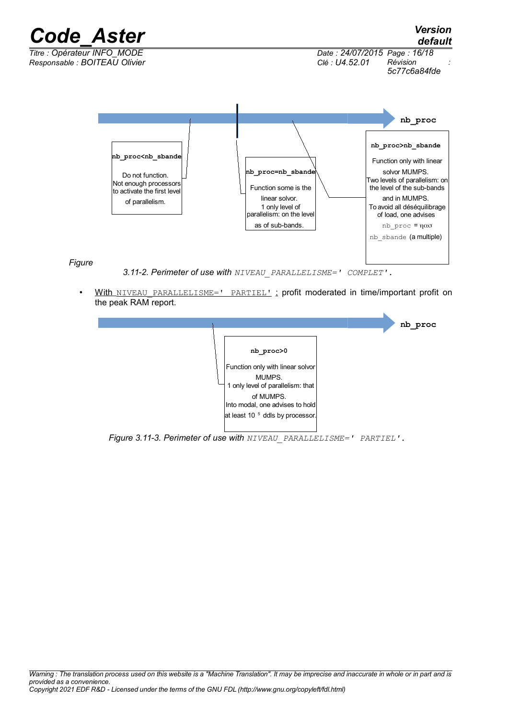

With NIVEAU PARALLELISME=' PARTIEL' : profit moderated in time/important profit on the peak RAM report.



*Figure 3.11-3. Perimeter of use with NIVEAU\_PARALLELISME=' PARTIEL'.*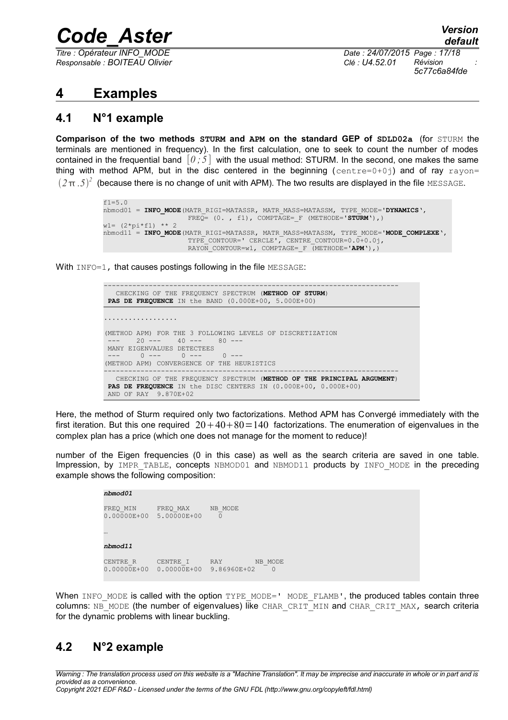*Responsable : BOITEAU Olivier Clé : U4.52.01 Révision :*

*Titre : Opérateur INFO\_MODE Date : 24/07/2015 Page : 17/18 5c77c6a84fde*

## **4 Examples**

## **4.1 N°1 example**

**Comparison of the two methods STURM and APM on the standard GEP of SDLD02a** (for STURM the terminals are mentioned in frequency). In the first calculation, one to seek to count the number of modes contained in the frequential band  $[0, 5]$  with the usual method: STURM. In the second, one makes the same thing with method APM, but in the disc centered in the beginning (centre=0+0j) and of ray rayon=  $(2\pi.5)^2$  (because there is no change of unit with APM). The two results are displayed in the file MESSAGE.

```
f1=5.0nbmod01 = INFO_MODE(MATR_RIGI=MATASSR, MATR_MASS=MATASSM, TYPE_MODE='DYNAMICS',
                     FREQ= (0. , f1), COMPTAGE=_F (METHODE='STURM'),) 
wl = (2*pi*f1) ** 2nbmod11 = INFO_MODE(MATR_RIGI=MATASSR, MATR_MASS=MATASSM, TYPE_MODE='MODE_COMPLEXE',
                    TYPE_CONTOUR=' CERCLE', CENTRE_CONTOUR=0.0+0.0j,
                    RAYON CONTOUR=w1, COMPTAGE= F (METHODE='APM'),)
```
With INFO=1, that causes postings following in the file MESSAGE:



Here, the method of Sturm required only two factorizations. Method APM has Convergé immediately with the first iteration. But this one required  $20+40+80=140$  factorizations. The enumeration of eigenvalues in the complex plan has a price (which one does not manage for the moment to reduce)!

number of the Eigen frequencies (0 in this case) as well as the search criteria are saved in one table. Impression, by IMPR TABLE, concepts NBMOD01 and NBMOD11 products by INFO MODE in the preceding example shows the following composition:

#### *nbmod01*

```
FREQ_MIN FREQ_MAX NB_MODE<br>0.00000E+00 5.00000E+00 0
0.00000E+00 5.00000E+00…
nbmod11
CENTRE R CENTRE I RAY NB MODE
0.00000E+00 0.00000E+00 9.86960E+02 0
```
When INFO MODE is called with the option TYPE MODE=' MODE FLAMB', the produced tables contain three columns: NB\_MODE (the number of eigenvalues) like CHAR\_CRIT\_MIN and CHAR\_CRIT\_MAX, search criteria for the dynamic problems with linear buckling.

#### **4.2 N°2 example**

*Warning : The translation process used on this website is a "Machine Translation". It may be imprecise and inaccurate in whole or in part and is provided as a convenience. Copyright 2021 EDF R&D - Licensed under the terms of the GNU FDL (http://www.gnu.org/copyleft/fdl.html)*